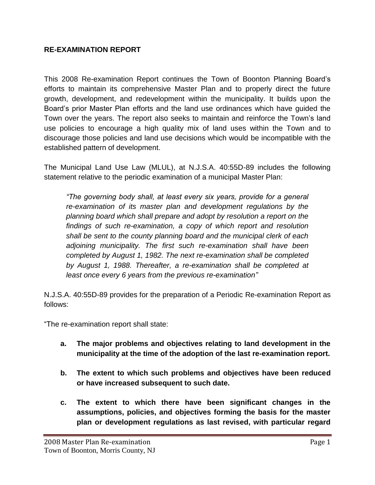#### **RE-EXAMINATION REPORT**

This 2008 Re-examination Report continues the Town of Boonton Planning Board's efforts to maintain its comprehensive Master Plan and to properly direct the future growth, development, and redevelopment within the municipality. It builds upon the Board's prior Master Plan efforts and the land use ordinances which have guided the Town over the years. The report also seeks to maintain and reinforce the Town's land use policies to encourage a high quality mix of land uses within the Town and to discourage those policies and land use decisions which would be incompatible with the established pattern of development.

The Municipal Land Use Law (MLUL), at N.J.S.A. 40:55D-89 includes the following statement relative to the periodic examination of a municipal Master Plan:

*"The governing body shall, at least every six years, provide for a general re-examination of its master plan and development regulations by the planning board which shall prepare and adopt by resolution a report on the findings of such re-examination, a copy of which report and resolution shall be sent to the county planning board and the municipal clerk of each adjoining municipality. The first such re-examination shall have been completed by August 1, 1982. The next re-examination shall be completed by August 1, 1988. Thereafter, a re-examination shall be completed at least once every 6 years from the previous re-examination"*

N.J.S.A. 40:55D-89 provides for the preparation of a Periodic Re-examination Report as follows:

"The re-examination report shall state:

- **a. The major problems and objectives relating to land development in the municipality at the time of the adoption of the last re-examination report.**
- **b. The extent to which such problems and objectives have been reduced or have increased subsequent to such date.**
- **c. The extent to which there have been significant changes in the assumptions, policies, and objectives forming the basis for the master plan or development regulations as last revised, with particular regard**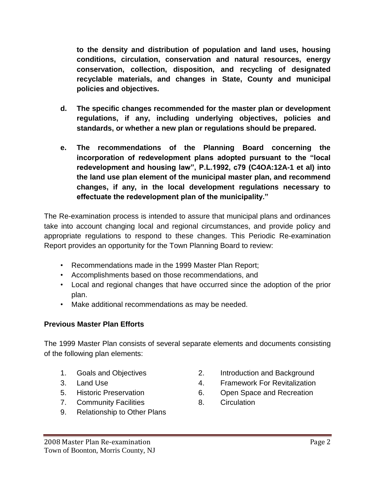**to the density and distribution of population and land uses, housing conditions, circulation, conservation and natural resources, energy conservation, collection, disposition, and recycling of designated recyclable materials, and changes in State, County and municipal policies and objectives.**

- **d. The specific changes recommended for the master plan or development regulations, if any, including underlying objectives, policies and standards, or whether a new plan or regulations should be prepared.**
- **e. The recommendations of the Planning Board concerning the incorporation of redevelopment plans adopted pursuant to the "local redevelopment and housing law", P.L.1992, c79 (C4OA:12A-1 et al) into the land use plan element of the municipal master plan, and recommend changes, if any, in the local development regulations necessary to effectuate the redevelopment plan of the municipality."**

The Re-examination process is intended to assure that municipal plans and ordinances take into account changing local and regional circumstances, and provide policy and appropriate regulations to respond to these changes. This Periodic Re-examination Report provides an opportunity for the Town Planning Board to review:

- Recommendations made in the 1999 Master Plan Report;
- Accomplishments based on those recommendations, and
- Local and regional changes that have occurred since the adoption of the prior plan.
- Make additional recommendations as may be needed.

### **Previous Master Plan Efforts**

The 1999 Master Plan consists of several separate elements and documents consisting of the following plan elements:

- 
- 
- 
- 7. Community Facilities **8.** Circulation
- 9. Relationship to Other Plans
- 1. Goals and Objectives 2. Introduction and Background
- 3. Land Use 4. Framework For Revitalization
- 5. Historic Preservation 6. Open Space and Recreation
	-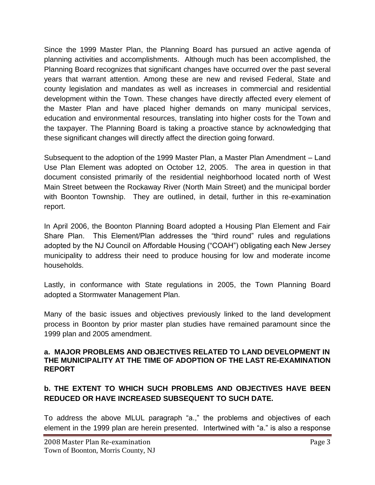Since the 1999 Master Plan, the Planning Board has pursued an active agenda of planning activities and accomplishments. Although much has been accomplished, the Planning Board recognizes that significant changes have occurred over the past several years that warrant attention. Among these are new and revised Federal, State and county legislation and mandates as well as increases in commercial and residential development within the Town. These changes have directly affected every element of the Master Plan and have placed higher demands on many municipal services, education and environmental resources, translating into higher costs for the Town and the taxpayer. The Planning Board is taking a proactive stance by acknowledging that these significant changes will directly affect the direction going forward.

Subsequent to the adoption of the 1999 Master Plan, a Master Plan Amendment – Land Use Plan Element was adopted on October 12, 2005. The area in question in that document consisted primarily of the residential neighborhood located north of West Main Street between the Rockaway River (North Main Street) and the municipal border with Boonton Township. They are outlined, in detail, further in this re-examination report.

In April 2006, the Boonton Planning Board adopted a Housing Plan Element and Fair Share Plan. This Element/Plan addresses the "third round" rules and regulations adopted by the NJ Council on Affordable Housing ("COAH") obligating each New Jersey municipality to address their need to produce housing for low and moderate income households.

Lastly, in conformance with State regulations in 2005, the Town Planning Board adopted a Stormwater Management Plan.

Many of the basic issues and objectives previously linked to the land development process in Boonton by prior master plan studies have remained paramount since the 1999 plan and 2005 amendment.

#### **a. MAJOR PROBLEMS AND OBJECTIVES RELATED TO LAND DEVELOPMENT IN THE MUNICIPALITY AT THE TIME OF ADOPTION OF THE LAST RE-EXAMINATION REPORT**

## **b. THE EXTENT TO WHICH SUCH PROBLEMS AND OBJECTIVES HAVE BEEN REDUCED OR HAVE INCREASED SUBSEQUENT TO SUCH DATE.**

To address the above MLUL paragraph "a.," the problems and objectives of each element in the 1999 plan are herein presented. Intertwined with "a." is also a response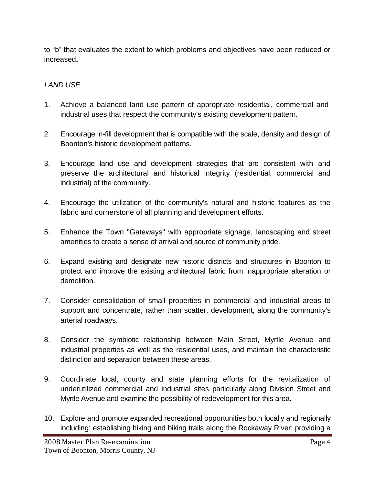to "b" that evaluates the extent to which problems and objectives have been reduced or increased**.**

### *LAND USE*

- 1. Achieve a balanced land use pattern of appropriate residential, commercial and industrial uses that respect the community's existing development pattern.
- 2. Encourage in-fill development that is compatible with the scale, density and design of Boonton's historic development patterns.
- 3. Encourage land use and development strategies that are consistent with and preserve the architectural and historical integrity (residential, commercial and industrial) of the community.
- 4. Encourage the utilization of the community's natural and historic features as the fabric and cornerstone of all planning and development efforts.
- 5. Enhance the Town "Gateways" with appropriate signage, landscaping and street amenities to create a sense of arrival and source of community pride.
- 6. Expand existing and designate new historic districts and structures in Boonton to protect and improve the existing architectural fabric from inappropriate alteration or demolition.
- 7. Consider consolidation of small properties in commercial and industrial areas to support and concentrate, rather than scatter, development, along the community's arterial roadways.
- 8. Consider the symbiotic relationship between Main Street, Myrtle Avenue and industrial properties as well as the residential uses, and maintain the characteristic distinction and separation between these areas.
- 9. Coordinate local, county and state planning efforts for the revitalization of underutilized commercial and industrial sites particularly along Division Street and Myrtle Avenue and examine the possibility of redevelopment for this area.
- 10. Explore and promote expanded recreational opportunities both locally and regionally including: establishing hiking and biking trails along the Rockaway River; providing a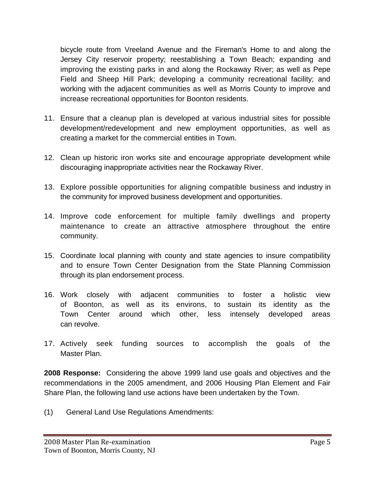bicycle route from Vreeland Avenue and the Fireman's Home to and along the Jersey City reservoir property; reestablishing a Town Beach; expanding and improving the existing parks in and along the Rockaway River; as well as Pepe Field and Sheep Hill Park; developing a community recreational facility; and working with the adjacent communities as well as Morris County to improve and increase recreational opportunities for Boonton residents.

- 11. Ensure that a cleanup plan is developed at various industrial sites for possible development/redevelopment and new employment opportunities, as well as creating a market for the commercial entities in Town.
- 12. Clean up historic iron works site and encourage appropriate development while discouraging inappropriate activities near the Rockaway River.
- 13. Explore possible opportunities for aligning compatible business and industry in the community for improved business development and opportunities.
- 14. Improve code enforcement for multiple family dwellings and property maintenance to create an attractive atmosphere throughout the entire community.
- 15. Coordinate local planning with county and state agencies to insure compatibility and to ensure Town Center Designation from the State Planning Commission through its plan endorsement process.
- 16. Work closely with adjacent communities to foster a holistic view of Boonton, as well as its environs, to sustain its identity as the Town Center around which other, less intensely developed areas can revolve.
- 17. Actively seek funding sources to accomplish the goals of the Master Plan.

**2008 Response:** Considering the above 1999 land use goals and objectives and the recommendations in the 2005 amendment, and 2006 Housing Plan Element and Fair Share Plan, the following land use actions have been undertaken by the Town.

(1) General Land Use Regulations Amendments: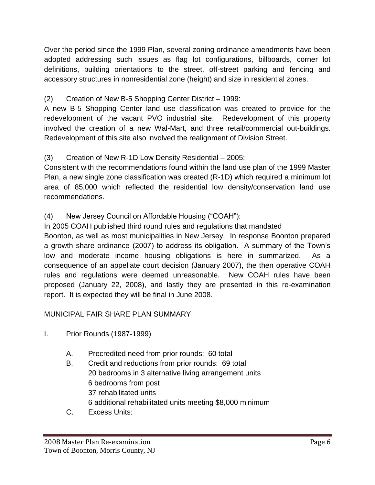Over the period since the 1999 Plan, several zoning ordinance amendments have been adopted addressing such issues as flag lot configurations, billboards, corner lot definitions, building orientations to the street, off-street parking and fencing and accessory structures in nonresidential zone (height) and size in residential zones.

# (2) Creation of New B-5 Shopping Center District – 1999:

A new B-5 Shopping Center land use classification was created to provide for the redevelopment of the vacant PVO industrial site. Redevelopment of this property involved the creation of a new Wal-Mart, and three retail/commercial out-buildings. Redevelopment of this site also involved the realignment of Division Street.

## (3) Creation of New R-1D Low Density Residential – 2005:

Consistent with the recommendations found within the land use plan of the 1999 Master Plan, a new single zone classification was created (R-1D) which required a minimum lot area of 85,000 which reflected the residential low density/conservation land use recommendations.

# (4) New Jersey Council on Affordable Housing ("COAH"):

In 2005 COAH published third round rules and regulations that mandated

Boonton, as well as most municipalities in New Jersey. In response Boonton prepared a growth share ordinance (2007) to address its obligation. A summary of the Town's low and moderate income housing obligations is here in summarized. As a consequence of an appellate court decision (January 2007), the then operative COAH rules and regulations were deemed unreasonable. New COAH rules have been proposed (January 22, 2008), and lastly they are presented in this re-examination report. It is expected they will be final in June 2008.

### MUNICIPAL FAIR SHARE PLAN SUMMARY

- I. Prior Rounds (1987-1999)
	- A. Precredited need from prior rounds: 60 total
	- B. Credit and reductions from prior rounds: 69 total 20 bedrooms in 3 alternative living arrangement units 6 bedrooms from post 37 rehabilitated units 6 additional rehabilitated units meeting \$8,000 minimum
	- C. Excess Units: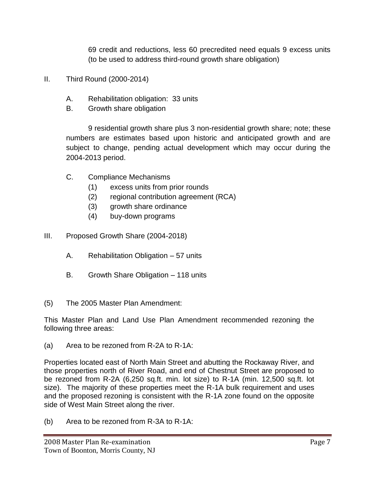69 credit and reductions, less 60 precredited need equals 9 excess units (to be used to address third-round growth share obligation)

- II. Third Round (2000-2014)
	- A. Rehabilitation obligation: 33 units
	- B. Growth share obligation

9 residential growth share plus 3 non-residential growth share; note; these numbers are estimates based upon historic and anticipated growth and are subject to change, pending actual development which may occur during the 2004-2013 period.

- C. Compliance Mechanisms
	- (1) excess units from prior rounds
	- (2) regional contribution agreement (RCA)
	- (3) growth share ordinance
	- (4) buy-down programs
- III. Proposed Growth Share (2004-2018)
	- A. Rehabilitation Obligation 57 units
	- B. Growth Share Obligation 118 units
- (5) The 2005 Master Plan Amendment:

This Master Plan and Land Use Plan Amendment recommended rezoning the following three areas:

(a) Area to be rezoned from R-2A to R-1A:

Properties located east of North Main Street and abutting the Rockaway River, and those properties north of River Road, and end of Chestnut Street are proposed to be rezoned from R-2A (6,250 sq.ft. min. lot size) to R-1A (min. 12,500 sq.ft. lot size). The majority of these properties meet the R-1A bulk requirement and uses and the proposed rezoning is consistent with the R-1A zone found on the opposite side of West Main Street along the river.

(b) Area to be rezoned from R-3A to R-1A: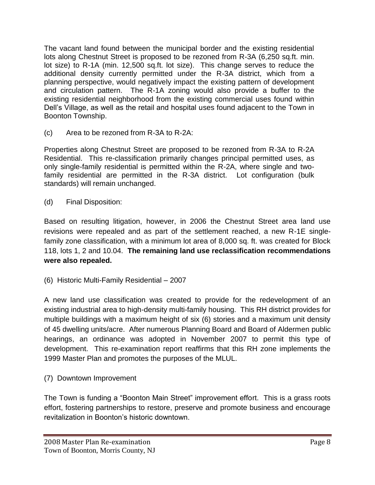The vacant land found between the municipal border and the existing residential lots along Chestnut Street is proposed to be rezoned from R-3A (6,250 sq.ft. min. lot size) to R-1A (min. 12,500 sq.ft. lot size). This change serves to reduce the additional density currently permitted under the R-3A district, which from a planning perspective, would negatively impact the existing pattern of development and circulation pattern. The R-1A zoning would also provide a buffer to the existing residential neighborhood from the existing commercial uses found within Dell's Village, as well as the retail and hospital uses found adjacent to the Town in Boonton Township.

(c) Area to be rezoned from R-3A to R-2A:

Properties along Chestnut Street are proposed to be rezoned from R-3A to R-2A Residential. This re-classification primarily changes principal permitted uses, as only single-family residential is permitted within the R-2A, where single and twofamily residential are permitted in the R-3A district. Lot configuration (bulk standards) will remain unchanged.

(d) Final Disposition:

Based on resulting litigation, however, in 2006 the Chestnut Street area land use revisions were repealed and as part of the settlement reached, a new R-1E singlefamily zone classification, with a minimum lot area of 8,000 sq. ft. was created for Block 118, lots 1, 2 and 10.04. **The remaining land use reclassification recommendations were also repealed.**

(6) Historic Multi-Family Residential – 2007

A new land use classification was created to provide for the redevelopment of an existing industrial area to high-density multi-family housing. This RH district provides for multiple buildings with a maximum height of six (6) stories and a maximum unit density of 45 dwelling units/acre. After numerous Planning Board and Board of Aldermen public hearings, an ordinance was adopted in November 2007 to permit this type of development. This re-examination report reaffirms that this RH zone implements the 1999 Master Plan and promotes the purposes of the MLUL.

(7) Downtown Improvement

The Town is funding a "Boonton Main Street" improvement effort. This is a grass roots effort, fostering partnerships to restore, preserve and promote business and encourage revitalization in Boonton's historic downtown.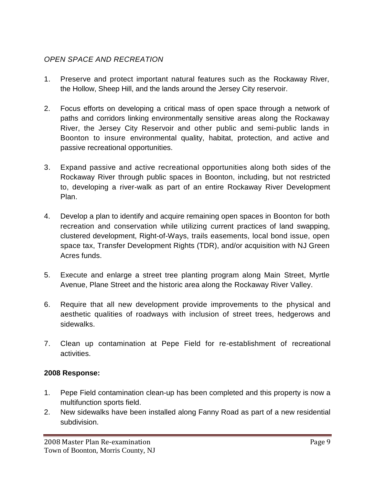## *OPEN SPACE AND RECREATION*

- 1. Preserve and protect important natural features such as the Rockaway River, the Hollow, Sheep Hill, and the lands around the Jersey City reservoir.
- 2. Focus efforts on developing a critical mass of open space through a network of paths and corridors linking environmentally sensitive areas along the Rockaway River, the Jersey City Reservoir and other public and semi-public lands in Boonton to insure environmental quality, habitat, protection, and active and passive recreational opportunities.
- 3. Expand passive and active recreational opportunities along both sides of the Rockaway River through public spaces in Boonton, including, but not restricted to, developing a river-walk as part of an entire Rockaway River Development Plan.
- 4. Develop a plan to identify and acquire remaining open spaces in Boonton for both recreation and conservation while utilizing current practices of land swapping, clustered development, Right-of-Ways, trails easements, local bond issue, open space tax, Transfer Development Rights (TDR), and/or acquisition with NJ Green Acres funds.
- 5. Execute and enlarge a street tree planting program along Main Street, Myrtle Avenue, Plane Street and the historic area along the Rockaway River Valley.
- 6. Require that all new development provide improvements to the physical and aesthetic qualities of roadways with inclusion of street trees, hedgerows and sidewalks.
- 7. Clean up contamination at Pepe Field for re-establishment of recreational activities.

#### **2008 Response:**

- 1. Pepe Field contamination clean-up has been completed and this property is now a multifunction sports field.
- 2. New sidewalks have been installed along Fanny Road as part of a new residential subdivision.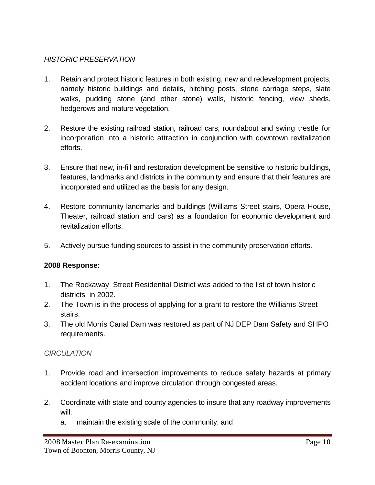#### *HISTORIC PRESERVATION*

- 1. Retain and protect historic features in both existing, new and redevelopment projects, namely historic buildings and details, hitching posts, stone carriage steps, slate walks, pudding stone (and other stone) walls, historic fencing, view sheds, hedgerows and mature vegetation.
- 2. Restore the existing railroad station, railroad cars, roundabout and swing trestle for incorporation into a historic attraction in conjunction with downtown revitalization efforts.
- 3. Ensure that new, in-fill and restoration development be sensitive to historic buildings, features, landmarks and districts in the community and ensure that their features are incorporated and utilized as the basis for any design.
- 4. Restore community landmarks and buildings (Williams Street stairs, Opera House, Theater, railroad station and cars) as a foundation for economic development and revitalization efforts.
- 5. Actively pursue funding sources to assist in the community preservation efforts.

#### **2008 Response:**

- 1. The Rockaway Street Residential District was added to the list of town historic districts in 2002.
- 2. The Town is in the process of applying for a grant to restore the Williams Street stairs.
- 3. The old Morris Canal Dam was restored as part of NJ DEP Dam Safety and SHPO requirements.

#### *CIRCULATION*

- 1. Provide road and intersection improvements to reduce safety hazards at primary accident locations and improve circulation through congested areas.
- 2. Coordinate with state and county agencies to insure that any roadway improvements will:
	- a. maintain the existing scale of the community; and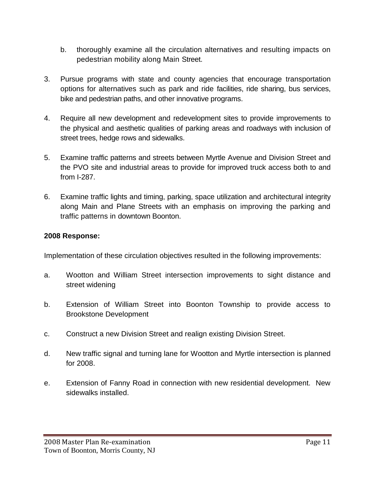- b. thoroughly examine all the circulation alternatives and resulting impacts on pedestrian mobility along Main Street.
- 3. Pursue programs with state and county agencies that encourage transportation options for alternatives such as park and ride facilities, ride sharing, bus services, bike and pedestrian paths, and other innovative programs.
- 4. Require all new development and redevelopment sites to provide improvements to the physical and aesthetic qualities of parking areas and roadways with inclusion of street trees, hedge rows and sidewalks.
- 5. Examine traffic patterns and streets between Myrtle Avenue and Division Street and the PVO site and industrial areas to provide for improved truck access both to and from I-287.
- 6. Examine traffic lights and timing, parking, space utilization and architectural integrity along Main and Plane Streets with an emphasis on improving the parking and traffic patterns in downtown Boonton.

#### **2008 Response:**

Implementation of these circulation objectives resulted in the following improvements:

- a. Wootton and William Street intersection improvements to sight distance and street widening
- b. Extension of William Street into Boonton Township to provide access to Brookstone Development
- c. Construct a new Division Street and realign existing Division Street.
- d. New traffic signal and turning lane for Wootton and Myrtle intersection is planned for 2008.
- e. Extension of Fanny Road in connection with new residential development. New sidewalks installed.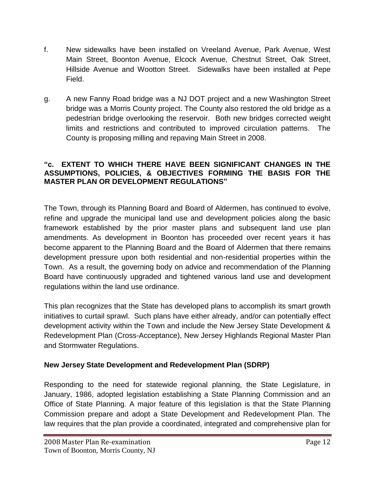- f. New sidewalks have been installed on Vreeland Avenue, Park Avenue, West Main Street, Boonton Avenue, Elcock Avenue, Chestnut Street, Oak Street, Hillside Avenue and Wootton Street. Sidewalks have been installed at Pepe Field.
- g. A new Fanny Road bridge was a NJ DOT project and a new Washington Street bridge was a Morris County project. The County also restored the old bridge as a pedestrian bridge overlooking the reservoir. Both new bridges corrected weight limits and restrictions and contributed to improved circulation patterns. The County is proposing milling and repaving Main Street in 2008.

#### **"c. EXTENT TO WHICH THERE HAVE BEEN SIGNIFICANT CHANGES IN THE ASSUMPTIONS, POLICIES, & OBJECTIVES FORMING THE BASIS FOR THE MASTER PLAN OR DEVELOPMENT REGULATIONS"**

The Town, through its Planning Board and Board of Aldermen, has continued to evolve, refine and upgrade the municipal land use and development policies along the basic framework established by the prior master plans and subsequent land use plan amendments. As development in Boonton has proceeded over recent years it has become apparent to the Planning Board and the Board of Aldermen that there remains development pressure upon both residential and non-residential properties within the Town. As a result, the governing body on advice and recommendation of the Planning Board have continuously upgraded and tightened various land use and development regulations within the land use ordinance.

This plan recognizes that the State has developed plans to accomplish its smart growth initiatives to curtail sprawl. Such plans have either already, and/or can potentially effect development activity within the Town and include the New Jersey State Development & Redevelopment Plan (Cross-Acceptance), New Jersey Highlands Regional Master Plan and Stormwater Regulations.

### **New Jersey State Development and Redevelopment Plan (SDRP)**

Responding to the need for statewide regional planning, the State Legislature, in January, 1986, adopted legislation establishing a State Planning Commission and an Office of State Planning. A major feature of this legislation is that the State Planning Commission prepare and adopt a State Development and Redevelopment Plan. The law requires that the plan provide a coordinated, integrated and comprehensive plan for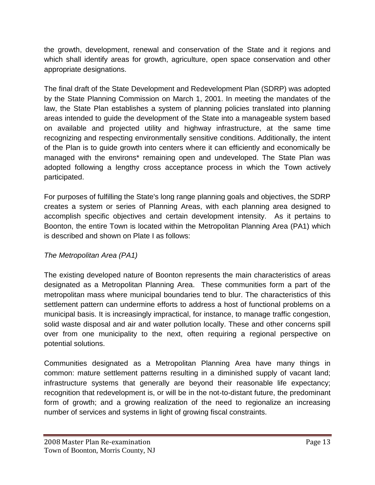the growth, development, renewal and conservation of the State and it regions and which shall identify areas for growth, agriculture, open space conservation and other appropriate designations.

The final draft of the State Development and Redevelopment Plan (SDRP) was adopted by the State Planning Commission on March 1, 2001. In meeting the mandates of the law, the State Plan establishes a system of planning policies translated into planning areas intended to guide the development of the State into a manageable system based on available and projected utility and highway infrastructure, at the same time recognizing and respecting environmentally sensitive conditions. Additionally, the intent of the Plan is to guide growth into centers where it can efficiently and economically be managed with the environs\* remaining open and undeveloped. The State Plan was adopted following a lengthy cross acceptance process in which the Town actively participated.

For purposes of fulfilling the State's long range planning goals and objectives, the SDRP creates a system or series of Planning Areas, with each planning area designed to accomplish specific objectives and certain development intensity. As it pertains to Boonton, the entire Town is located within the Metropolitan Planning Area (PA1) which is described and shown on Plate I as follows:

### *The Metropolitan Area (PA1)*

The existing developed nature of Boonton represents the main characteristics of areas designated as a Metropolitan Planning Area. These communities form a part of the metropolitan mass where municipal boundaries tend to blur. The characteristics of this settlement pattern can undermine efforts to address a host of functional problems on a municipal basis. It is increasingly impractical, for instance, to manage traffic congestion, solid waste disposal and air and water pollution locally. These and other concerns spill over from one municipality to the next, often requiring a regional perspective on potential solutions.

Communities designated as a Metropolitan Planning Area have many things in common: mature settlement patterns resulting in a diminished supply of vacant land; infrastructure systems that generally are beyond their reasonable life expectancy; recognition that redevelopment is, or will be in the not-to-distant future, the predominant form of growth; and a growing realization of the need to regionalize an increasing number of services and systems in light of growing fiscal constraints.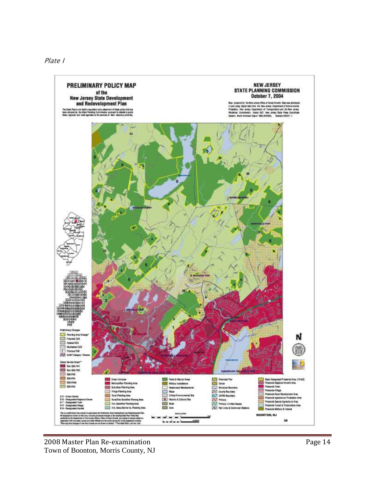

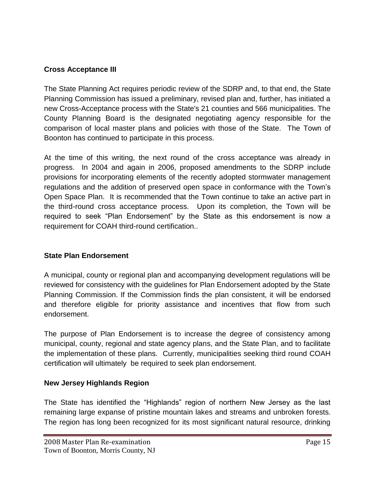## **Cross Acceptance III**

The State Planning Act requires periodic review of the SDRP and, to that end, the State Planning Commission has issued a preliminary, revised plan and, further, has initiated a new Cross-Acceptance process with the State's 21 counties and 566 municipalities. The County Planning Board is the designated negotiating agency responsible for the comparison of local master plans and policies with those of the State. The Town of Boonton has continued to participate in this process.

At the time of this writing, the next round of the cross acceptance was already in progress. In 2004 and again in 2006, proposed amendments to the SDRP include provisions for incorporating elements of the recently adopted stormwater management regulations and the addition of preserved open space in conformance with the Town's Open Space Plan. It is recommended that the Town continue to take an active part in the third-round cross acceptance process. Upon its completion, the Town will be required to seek "Plan Endorsement" by the State as this endorsement is now a requirement for COAH third-round certification..

### **State Plan Endorsement**

A municipal, county or regional plan and accompanying development regulations will be reviewed for consistency with the guidelines for Plan Endorsement adopted by the State Planning Commission. If the Commission finds the plan consistent, it will be endorsed and therefore eligible for priority assistance and incentives that flow from such endorsement.

The purpose of Plan Endorsement is to increase the degree of consistency among municipal, county, regional and state agency plans, and the State Plan, and to facilitate the implementation of these plans. Currently, municipalities seeking third round COAH certification will ultimately be required to seek plan endorsement.

### **New Jersey Highlands Region**

The State has identified the "Highlands" region of northern New Jersey as the last remaining large expanse of pristine mountain lakes and streams and unbroken forests. The region has long been recognized for its most significant natural resource, drinking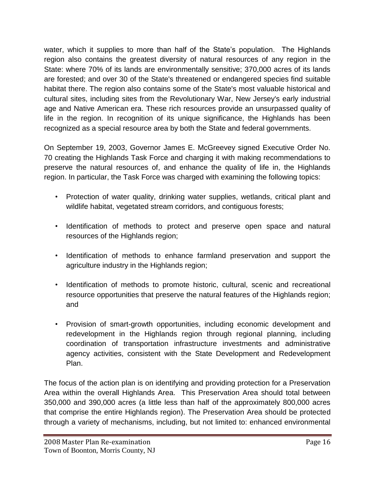water, which it supplies to more than half of the State's population. The Highlands region also contains the greatest diversity of natural resources of any region in the State: where 70% of its lands are environmentally sensitive; 370,000 acres of its lands are forested; and over 30 of the State's threatened or endangered species find suitable habitat there. The region also contains some of the State's most valuable historical and cultural sites, including sites from the Revolutionary War, New Jersey's early industrial age and Native American era. These rich resources provide an unsurpassed quality of life in the region. In recognition of its unique significance, the Highlands has been recognized as a special resource area by both the State and federal governments.

On September 19, 2003, Governor James E. McGreevey signed Executive Order No. 70 creating the Highlands Task Force and charging it with making recommendations to preserve the natural resources of, and enhance the quality of life in, the Highlands region. In particular, the Task Force was charged with examining the following topics:

- Protection of water quality, drinking water supplies, wetlands, critical plant and wildlife habitat, vegetated stream corridors, and contiguous forests;
- Identification of methods to protect and preserve open space and natural resources of the Highlands region;
- Identification of methods to enhance farmland preservation and support the agriculture industry in the Highlands region;
- Identification of methods to promote historic, cultural, scenic and recreational resource opportunities that preserve the natural features of the Highlands region; and
- Provision of smart-growth opportunities, including economic development and redevelopment in the Highlands region through regional planning, including coordination of transportation infrastructure investments and administrative agency activities, consistent with the State Development and Redevelopment Plan.

The focus of the action plan is on identifying and providing protection for a Preservation Area within the overall Highlands Area. This Preservation Area should total between 350,000 and 390,000 acres (a little less than half of the approximately 800,000 acres that comprise the entire Highlands region). The Preservation Area should be protected through a variety of mechanisms, including, but not limited to: enhanced environmental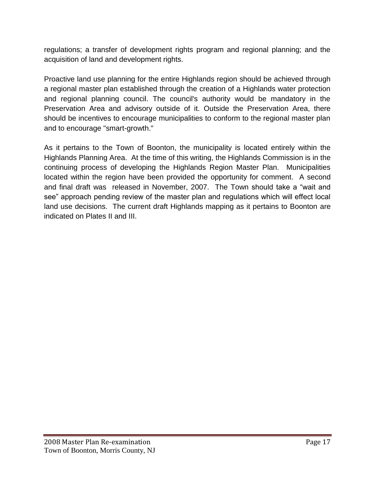regulations; a transfer of development rights program and regional planning; and the acquisition of land and development rights.

Proactive land use planning for the entire Highlands region should be achieved through a regional master plan established through the creation of a Highlands water protection and regional planning council. The council's authority would be mandatory in the Preservation Area and advisory outside of it. Outside the Preservation Area, there should be incentives to encourage municipalities to conform to the regional master plan and to encourage "smart-growth."

As it pertains to the Town of Boonton, the municipality is located entirely within the Highlands Planning Area. At the time of this writing, the Highlands Commission is in the continuing process of developing the Highlands Region Master Plan. Municipalities located within the region have been provided the opportunity for comment. A second and final draft was released in November, 2007. The Town should take a "wait and see" approach pending review of the master plan and regulations which will effect local land use decisions. The current draft Highlands mapping as it pertains to Boonton are indicated on Plates II and III.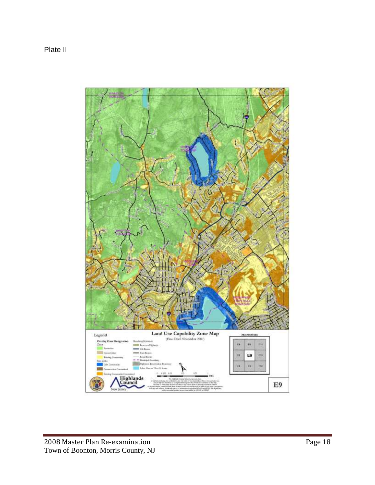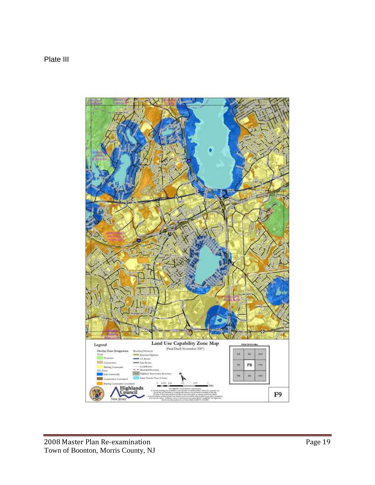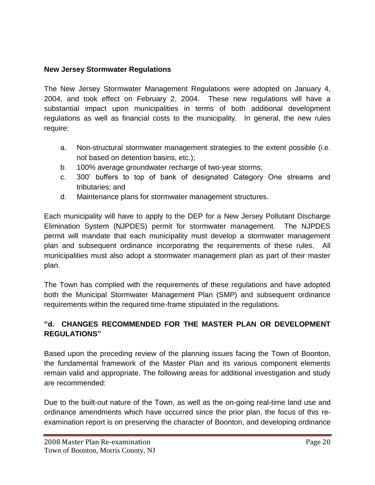### **New Jersey Stormwater Regulations**

The New Jersey Stormwater Management Regulations were adopted on January 4, 2004, and took effect on February 2, 2004. These new regulations will have a substantial impact upon municipalities in terms of both additional development regulations as well as financial costs to the municipality. In general, the new rules require:

- a. Non-structural stormwater management strategies to the extent possible (i.e. not based on detention basins, etc.);
- b. 100% average groundwater recharge of two-year storms;
- c. 300' buffers to top of bank of designated Category One streams and tributaries; and
- d. Maintenance plans for stormwater management structures.

Each municipality will have to apply to the DEP for a New Jersey Pollutant Discharge Elimination System (NJPDES) permit for stormwater management. The NJPDES permit will mandate that each municipality must develop a stormwater management plan and subsequent ordinance incorporating the requirements of these rules. All municipalities must also adopt a stormwater management plan as part of their master plan.

The Town has complied with the requirements of these regulations and have adopted both the Municipal Stormwater Management Plan (SMP) and subsequent ordinance requirements within the required time-frame stipulated in the regulations.

## **"d. CHANGES RECOMMENDED FOR THE MASTER PLAN OR DEVELOPMENT REGULATIONS"**

Based upon the preceding review of the planning issues facing the Town of Boonton, the fundamental framework of the Master Plan and its various component elements remain valid and appropriate. The following areas for additional investigation and study are recommended:

Due to the built-out nature of the Town, as well as the on-going real-time land use and ordinance amendments which have occurred since the prior plan, the focus of this reexamination report is on preserving the character of Boonton, and developing ordinance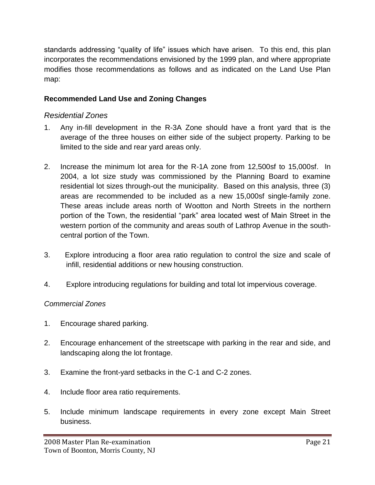standards addressing "quality of life" issues which have arisen. To this end, this plan incorporates the recommendations envisioned by the 1999 plan, and where appropriate modifies those recommendations as follows and as indicated on the Land Use Plan map:

### **Recommended Land Use and Zoning Changes**

#### *Residential Zones*

- 1. Any in-fill development in the R-3A Zone should have a front yard that is the average of the three houses on either side of the subject property. Parking to be limited to the side and rear yard areas only.
- 2. Increase the minimum lot area for the R-1A zone from 12,500sf to 15,000sf. In 2004, a lot size study was commissioned by the Planning Board to examine residential lot sizes through-out the municipality. Based on this analysis, three (3) areas are recommended to be included as a new 15,000sf single-family zone. These areas include areas north of Wootton and North Streets in the northern portion of the Town, the residential "park" area located west of Main Street in the western portion of the community and areas south of Lathrop Avenue in the southcentral portion of the Town.
- 3. Explore introducing a floor area ratio regulation to control the size and scale of infill, residential additions or new housing construction.
- 4. Explore introducing regulations for building and total lot impervious coverage.

#### *Commercial Zones*

- 1. Encourage shared parking.
- 2. Encourage enhancement of the streetscape with parking in the rear and side, and landscaping along the lot frontage.
- 3. Examine the front-yard setbacks in the C-1 and C-2 zones.
- 4. Include floor area ratio requirements.
- 5. Include minimum landscape requirements in every zone except Main Street business.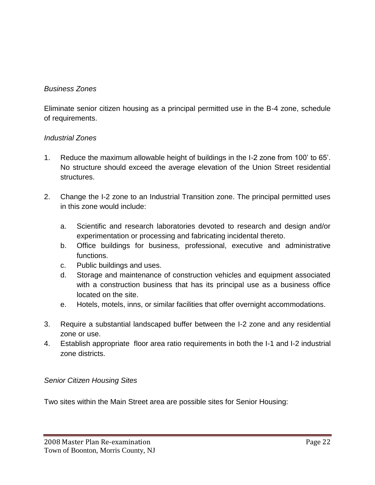## *Business Zones*

Eliminate senior citizen housing as a principal permitted use in the B-4 zone, schedule of requirements.

#### *Industrial Zones*

- 1. Reduce the maximum allowable height of buildings in the I-2 zone from 100' to 65'. No structure should exceed the average elevation of the Union Street residential structures.
- 2. Change the I-2 zone to an Industrial Transition zone. The principal permitted uses in this zone would include:
	- a. Scientific and research laboratories devoted to research and design and/or experimentation or processing and fabricating incidental thereto.
	- b. Office buildings for business, professional, executive and administrative functions.
	- c. Public buildings and uses.
	- d. Storage and maintenance of construction vehicles and equipment associated with a construction business that has its principal use as a business office located on the site.
	- e. Hotels, motels, inns, or similar facilities that offer overnight accommodations.
- 3. Require a substantial landscaped buffer between the I-2 zone and any residential zone or use.
- 4. Establish appropriate floor area ratio requirements in both the I-1 and I-2 industrial zone districts.

#### *Senior Citizen Housing Sites*

Two sites within the Main Street area are possible sites for Senior Housing: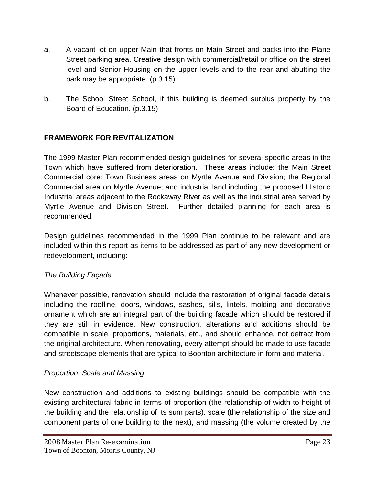- a. A vacant lot on upper Main that fronts on Main Street and backs into the Plane Street parking area. Creative design with commercial/retail or office on the street level and Senior Housing on the upper levels and to the rear and abutting the park may be appropriate. (p.3.15)
- b. The School Street School, if this building is deemed surplus property by the Board of Education. (p.3.15)

## **FRAMEWORK FOR REVITALIZATION**

The 1999 Master Plan recommended design guidelines for several specific areas in the Town which have suffered from deterioration. These areas include: the Main Street Commercial core; Town Business areas on Myrtle Avenue and Division; the Regional Commercial area on Myrtle Avenue; and industrial land including the proposed Historic Industrial areas adjacent to the Rockaway River as well as the industrial area served by Myrtle Avenue and Division Street. Further detailed planning for each area is recommended.

Design guidelines recommended in the 1999 Plan continue to be relevant and are included within this report as items to be addressed as part of any new development or redevelopment, including:

#### *The Building Façade*

Whenever possible, renovation should include the restoration of original facade details including the roofline, doors, windows, sashes, sills, lintels, molding and decorative ornament which are an integral part of the building facade which should be restored if they are still in evidence. New construction, alterations and additions should be compatible in scale, proportions, materials, etc., and should enhance, not detract from the original architecture. When renovating, every attempt should be made to use facade and streetscape elements that are typical to Boonton architecture in form and material.

### *Proportion, Scale and Massing*

New construction and additions to existing buildings should be compatible with the existing architectural fabric in terms of proportion (the relationship of width to height of the building and the relationship of its sum parts), scale (the relationship of the size and component parts of one building to the next), and massing (the volume created by the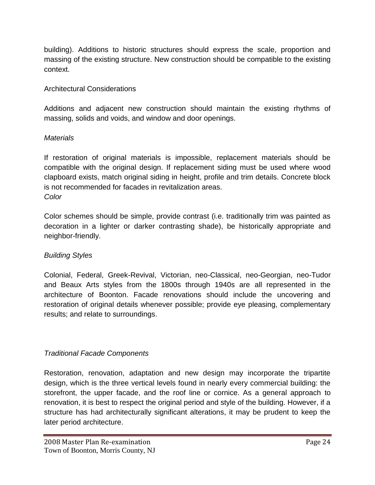building). Additions to historic structures should express the scale, proportion and massing of the existing structure. New construction should be compatible to the existing context.

## Architectural Considerations

Additions and adjacent new construction should maintain the existing rhythms of massing, solids and voids, and window and door openings.

### *Materials*

If restoration of original materials is impossible, replacement materials should be compatible with the original design. If replacement siding must be used where wood clapboard exists, match original siding in height, profile and trim details. Concrete block is not recommended for facades in revitalization areas. *Color*

Color schemes should be simple, provide contrast (i.e. traditionally trim was painted as decoration in a lighter or darker contrasting shade), be historically appropriate and neighbor-friendly.

## *Building Styles*

Colonial, Federal, Greek-Revival, Victorian, neo-Classical, neo-Georgian, neo-Tudor and Beaux Arts styles from the 1800s through 1940s are all represented in the architecture of Boonton. Facade renovations should include the uncovering and restoration of original details whenever possible; provide eye pleasing, complementary results; and relate to surroundings.

## *Traditional Facade Components*

Restoration, renovation, adaptation and new design may incorporate the tripartite design, which is the three vertical levels found in nearly every commercial building: the storefront, the upper facade, and the roof line or cornice. As a general approach to renovation, it is best to respect the original period and style of the building. However, if a structure has had architecturally significant alterations, it may be prudent to keep the later period architecture.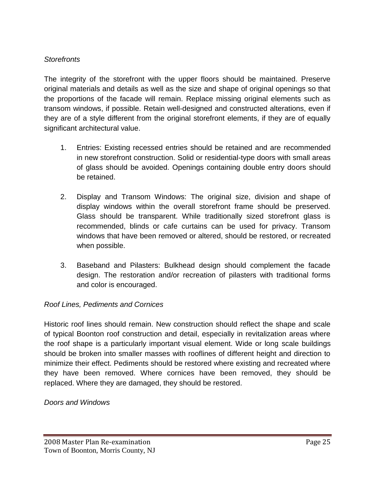### *Storefronts*

The integrity of the storefront with the upper floors should be maintained. Preserve original materials and details as well as the size and shape of original openings so that the proportions of the facade will remain. Replace missing original elements such as transom windows, if possible. Retain well-designed and constructed alterations, even if they are of a style different from the original storefront elements, if they are of equally significant architectural value.

- 1. Entries: Existing recessed entries should be retained and are recommended in new storefront construction. Solid or residential-type doors with small areas of glass should be avoided. Openings containing double entry doors should be retained.
- 2. Display and Transom Windows: The original size, division and shape of display windows within the overall storefront frame should be preserved. Glass should be transparent. While traditionally sized storefront glass is recommended, blinds or cafe curtains can be used for privacy. Transom windows that have been removed or altered, should be restored, or recreated when possible.
- 3. Baseband and Pilasters: Bulkhead design should complement the facade design. The restoration and/or recreation of pilasters with traditional forms and color is encouraged.

### *Roof Lines, Pediments and Cornices*

Historic roof lines should remain. New construction should reflect the shape and scale of typical Boonton roof construction and detail, especially in revitalization areas where the roof shape is a particularly important visual element. Wide or long scale buildings should be broken into smaller masses with rooflines of different height and direction to minimize their effect. Pediments should be restored where existing and recreated where they have been removed. Where cornices have been removed, they should be replaced. Where they are damaged, they should be restored.

#### *Doors and Windows*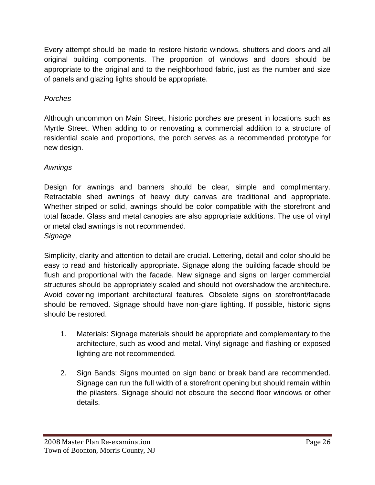Every attempt should be made to restore historic windows, shutters and doors and all original building components. The proportion of windows and doors should be appropriate to the original and to the neighborhood fabric, just as the number and size of panels and glazing lights should be appropriate.

### *Porches*

Although uncommon on Main Street, historic porches are present in locations such as Myrtle Street. When adding to or renovating a commercial addition to a structure of residential scale and proportions, the porch serves as a recommended prototype for new design.

## *Awnings*

Design for awnings and banners should be clear, simple and complimentary. Retractable shed awnings of heavy duty canvas are traditional and appropriate. Whether striped or solid, awnings should be color compatible with the storefront and total facade. Glass and metal canopies are also appropriate additions. The use of vinyl or metal clad awnings is not recommended.

*Signage*

Simplicity, clarity and attention to detail are crucial. Lettering, detail and color should be easy to read and historically appropriate. Signage along the building facade should be flush and proportional with the facade. New signage and signs on larger commercial structures should be appropriately scaled and should not overshadow the architecture. Avoid covering important architectural features. Obsolete signs on storefront/facade should be removed. Signage should have non-glare lighting. If possible, historic signs should be restored.

- 1. Materials: Signage materials should be appropriate and complementary to the architecture, such as wood and metal. Vinyl signage and flashing or exposed lighting are not recommended.
- 2. Sign Bands: Signs mounted on sign band or break band are recommended. Signage can run the full width of a storefront opening but should remain within the pilasters. Signage should not obscure the second floor windows or other details.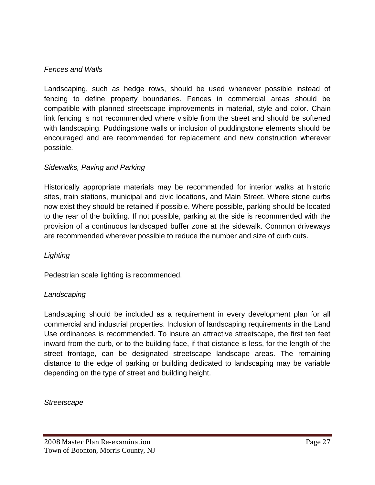#### *Fences and Walls*

Landscaping, such as hedge rows, should be used whenever possible instead of fencing to define property boundaries. Fences in commercial areas should be compatible with planned streetscape improvements in material, style and color. Chain link fencing is not recommended where visible from the street and should be softened with landscaping. Puddingstone walls or inclusion of puddingstone elements should be encouraged and are recommended for replacement and new construction wherever possible.

#### *Sidewalks, Paving and Parking*

Historically appropriate materials may be recommended for interior walks at historic sites, train stations, municipal and civic locations, and Main Street. Where stone curbs now exist they should be retained if possible. Where possible, parking should be located to the rear of the building. If not possible, parking at the side is recommended with the provision of a continuous landscaped buffer zone at the sidewalk. Common driveways are recommended wherever possible to reduce the number and size of curb cuts.

#### *Lighting*

Pedestrian scale lighting is recommended.

#### *Landscaping*

Landscaping should be included as a requirement in every development plan for all commercial and industrial properties. Inclusion of landscaping requirements in the Land Use ordinances is recommended. To insure an attractive streetscape, the first ten feet inward from the curb, or to the building face, if that distance is less, for the length of the street frontage, can be designated streetscape landscape areas. The remaining distance to the edge of parking or building dedicated to landscaping may be variable depending on the type of street and building height.

*Streetscape*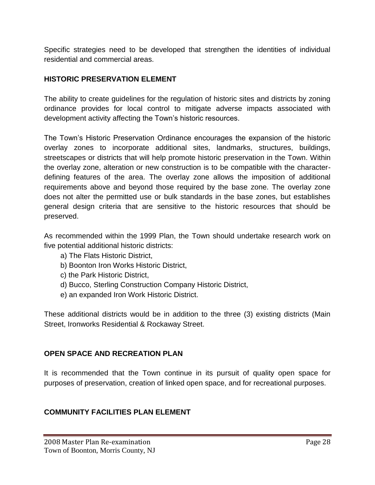Specific strategies need to be developed that strengthen the identities of individual residential and commercial areas.

#### **HISTORIC PRESERVATION ELEMENT**

The ability to create guidelines for the regulation of historic sites and districts by zoning ordinance provides for local control to mitigate adverse impacts associated with development activity affecting the Town's historic resources.

The Town's Historic Preservation Ordinance encourages the expansion of the historic overlay zones to incorporate additional sites, landmarks, structures, buildings, streetscapes or districts that will help promote historic preservation in the Town. Within the overlay zone, alteration or new construction is to be compatible with the characterdefining features of the area. The overlay zone allows the imposition of additional requirements above and beyond those required by the base zone. The overlay zone does not alter the permitted use or bulk standards in the base zones, but establishes general design criteria that are sensitive to the historic resources that should be preserved.

As recommended within the 1999 Plan, the Town should undertake research work on five potential additional historic districts:

- a) The Flats Historic District,
- b) Boonton Iron Works Historic District,
- c) the Park Historic District,
- d) Bucco, Sterling Construction Company Historic District,
- e) an expanded Iron Work Historic District.

These additional districts would be in addition to the three (3) existing districts (Main Street, Ironworks Residential & Rockaway Street.

#### **OPEN SPACE AND RECREATION PLAN**

It is recommended that the Town continue in its pursuit of quality open space for purposes of preservation, creation of linked open space, and for recreational purposes.

### **COMMUNITY FACILITIES PLAN ELEMENT**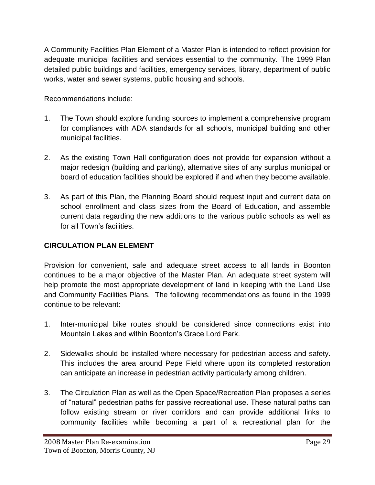A Community Facilities Plan Element of a Master Plan is intended to reflect provision for adequate municipal facilities and services essential to the community. The 1999 Plan detailed public buildings and facilities, emergency services, library, department of public works, water and sewer systems, public housing and schools.

Recommendations include:

- 1. The Town should explore funding sources to implement a comprehensive program for compliances with ADA standards for all schools, municipal building and other municipal facilities.
- 2. As the existing Town Hall configuration does not provide for expansion without a major redesign (building and parking), alternative sites of any surplus municipal or board of education facilities should be explored if and when they become available.
- 3. As part of this Plan, the Planning Board should request input and current data on school enrollment and class sizes from the Board of Education, and assemble current data regarding the new additions to the various public schools as well as for all Town's facilities.

## **CIRCULATION PLAN ELEMENT**

Provision for convenient, safe and adequate street access to all lands in Boonton continues to be a major objective of the Master Plan. An adequate street system will help promote the most appropriate development of land in keeping with the Land Use and Community Facilities Plans. The following recommendations as found in the 1999 continue to be relevant:

- 1. Inter-municipal bike routes should be considered since connections exist into Mountain Lakes and within Boonton's Grace Lord Park.
- 2. Sidewalks should be installed where necessary for pedestrian access and safety. This includes the area around Pepe Field where upon its completed restoration can anticipate an increase in pedestrian activity particularly among children.
- 3. The Circulation Plan as well as the Open Space/Recreation Plan proposes a series of "natural" pedestrian paths for passive recreational use. These natural paths can follow existing stream or river corridors and can provide additional links to community facilities while becoming a part of a recreational plan for the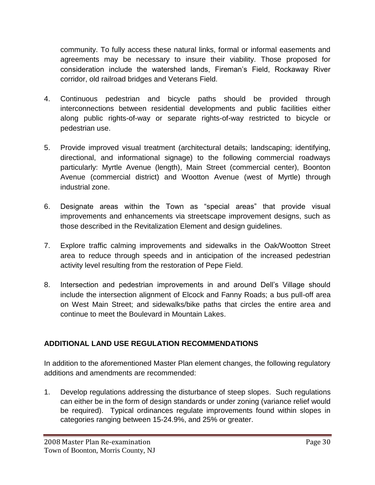community. To fully access these natural links, formal or informal easements and agreements may be necessary to insure their viability. Those proposed for consideration include the watershed lands, Fireman's Field, Rockaway River corridor, old railroad bridges and Veterans Field.

- 4. Continuous pedestrian and bicycle paths should be provided through interconnections between residential developments and public facilities either along public rights-of-way or separate rights-of-way restricted to bicycle or pedestrian use.
- 5. Provide improved visual treatment (architectural details; landscaping; identifying, directional, and informational signage) to the following commercial roadways particularly: Myrtle Avenue (length), Main Street (commercial center), Boonton Avenue (commercial district) and Wootton Avenue (west of Myrtle) through industrial zone.
- 6. Designate areas within the Town as "special areas" that provide visual improvements and enhancements via streetscape improvement designs, such as those described in the Revitalization Element and design guidelines.
- 7. Explore traffic calming improvements and sidewalks in the Oak/Wootton Street area to reduce through speeds and in anticipation of the increased pedestrian activity level resulting from the restoration of Pepe Field.
- 8. Intersection and pedestrian improvements in and around Dell's Village should include the intersection alignment of Elcock and Fanny Roads; a bus pull-off area on West Main Street; and sidewalks/bike paths that circles the entire area and continue to meet the Boulevard in Mountain Lakes.

## **ADDITIONAL LAND USE REGULATION RECOMMENDATIONS**

In addition to the aforementioned Master Plan element changes, the following regulatory additions and amendments are recommended:

1. Develop regulations addressing the disturbance of steep slopes. Such regulations can either be in the form of design standards or under zoning (variance relief would be required). Typical ordinances regulate improvements found within slopes in categories ranging between 15-24.9%, and 25% or greater.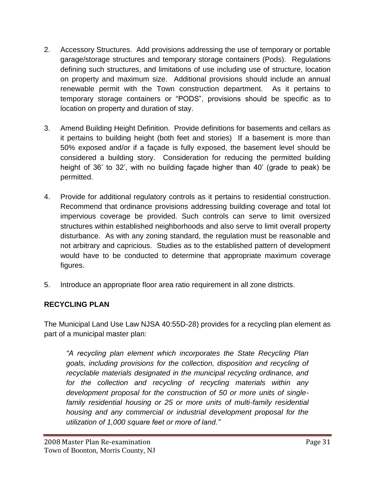- 2. Accessory Structures. Add provisions addressing the use of temporary or portable garage/storage structures and temporary storage containers (Pods). Regulations defining such structures, and limitations of use including use of structure, location on property and maximum size. Additional provisions should include an annual renewable permit with the Town construction department. As it pertains to temporary storage containers or "PODS", provisions should be specific as to location on property and duration of stay.
- 3. Amend Building Height Definition. Provide definitions for basements and cellars as it pertains to building height (both feet and stories) If a basement is more than 50% exposed and/or if a façade is fully exposed, the basement level should be considered a building story. Consideration for reducing the permitted building height of 36' to 32', with no building façade higher than 40' (grade to peak) be permitted.
- 4. Provide for additional regulatory controls as it pertains to residential construction. Recommend that ordinance provisions addressing building coverage and total lot impervious coverage be provided. Such controls can serve to limit oversized structures within established neighborhoods and also serve to limit overall property disturbance. As with any zoning standard, the regulation must be reasonable and not arbitrary and capricious. Studies as to the established pattern of development would have to be conducted to determine that appropriate maximum coverage figures.
- 5. Introduce an appropriate floor area ratio requirement in all zone districts.

## **RECYCLING PLAN**

The Municipal Land Use Law NJSA 40:55D-28) provides for a recycling plan element as part of a municipal master plan:

*"A recycling plan element which incorporates the State Recycling Plan goals, including provisions for the collection, disposition and recycling of recyclable materials designated in the municipal recycling ordinance, and for the collection and recycling of recycling materials within any development proposal for the construction of 50 or more units of singlefamily residential housing or 25 or more units of multi-family residential housing and any commercial or industrial development proposal for the utilization of 1,000 square feet or more of land."*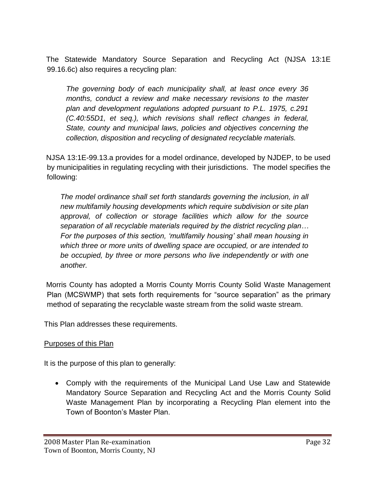The Statewide Mandatory Source Separation and Recycling Act (NJSA 13:1E 99.16.6c) also requires a recycling plan:

*The governing body of each municipality shall, at least once every 36 months, conduct a review and make necessary revisions to the master plan and development regulations adopted pursuant to P.L. 1975, c.291 (C.40:55D1, et seq.), which revisions shall reflect changes in federal, State, county and municipal laws, policies and objectives concerning the collection, disposition and recycling of designated recyclable materials.*

NJSA 13:1E-99.13.a provides for a model ordinance, developed by NJDEP, to be used by municipalities in regulating recycling with their jurisdictions. The model specifies the following:

*The model ordinance shall set forth standards governing the inclusion, in all new multifamily housing developments which require subdivision or site plan approval, of collection or storage facilities which allow for the source separation of all recyclable materials required by the district recycling plan… For the purposes of this section, 'multifamily housing' shall mean housing in which three or more units of dwelling space are occupied, or are intended to be occupied, by three or more persons who live independently or with one another.*

Morris County has adopted a Morris County Morris County Solid Waste Management Plan (MCSWMP) that sets forth requirements for "source separation" as the primary method of separating the recyclable waste stream from the solid waste stream.

This Plan addresses these requirements.

### Purposes of this Plan

It is the purpose of this plan to generally:

 Comply with the requirements of the Municipal Land Use Law and Statewide Mandatory Source Separation and Recycling Act and the Morris County Solid Waste Management Plan by incorporating a Recycling Plan element into the Town of Boonton's Master Plan.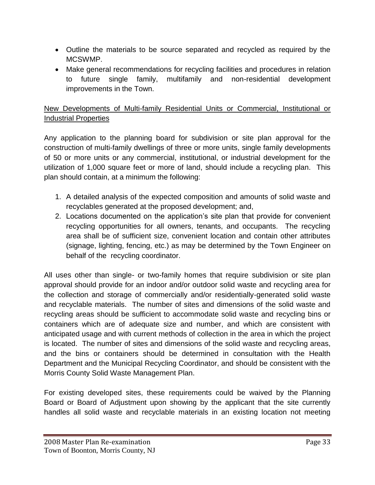- Outline the materials to be source separated and recycled as required by the MCSWMP.
- Make general recommendations for recycling facilities and procedures in relation to future single family, multifamily and non-residential development improvements in the Town.

## New Developments of Multi-family Residential Units or Commercial, Institutional or Industrial Properties

Any application to the planning board for subdivision or site plan approval for the construction of multi-family dwellings of three or more units, single family developments of 50 or more units or any commercial, institutional, or industrial development for the utilization of 1,000 square feet or more of land, should include a recycling plan. This plan should contain, at a minimum the following:

- 1. A detailed analysis of the expected composition and amounts of solid waste and recyclables generated at the proposed development; and,
- 2. Locations documented on the application's site plan that provide for convenient recycling opportunities for all owners, tenants, and occupants. The recycling area shall be of sufficient size, convenient location and contain other attributes (signage, lighting, fencing, etc.) as may be determined by the Town Engineer on behalf of the recycling coordinator.

All uses other than single- or two-family homes that require subdivision or site plan approval should provide for an indoor and/or outdoor solid waste and recycling area for the collection and storage of commercially and/or residentially-generated solid waste and recyclable materials. The number of sites and dimensions of the solid waste and recycling areas should be sufficient to accommodate solid waste and recycling bins or containers which are of adequate size and number, and which are consistent with anticipated usage and with current methods of collection in the area in which the project is located. The number of sites and dimensions of the solid waste and recycling areas, and the bins or containers should be determined in consultation with the Health Department and the Municipal Recycling Coordinator, and should be consistent with the Morris County Solid Waste Management Plan.

For existing developed sites, these requirements could be waived by the Planning Board or Board of Adjustment upon showing by the applicant that the site currently handles all solid waste and recyclable materials in an existing location not meeting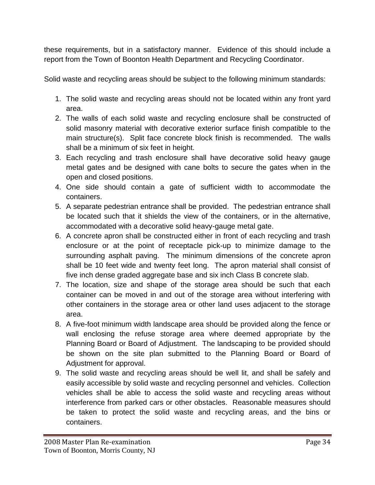these requirements, but in a satisfactory manner. Evidence of this should include a report from the Town of Boonton Health Department and Recycling Coordinator.

Solid waste and recycling areas should be subject to the following minimum standards:

- 1. The solid waste and recycling areas should not be located within any front yard area.
- 2. The walls of each solid waste and recycling enclosure shall be constructed of solid masonry material with decorative exterior surface finish compatible to the main structure(s). Split face concrete block finish is recommended. The walls shall be a minimum of six feet in height.
- 3. Each recycling and trash enclosure shall have decorative solid heavy gauge metal gates and be designed with cane bolts to secure the gates when in the open and closed positions.
- 4. One side should contain a gate of sufficient width to accommodate the containers.
- 5. A separate pedestrian entrance shall be provided. The pedestrian entrance shall be located such that it shields the view of the containers, or in the alternative, accommodated with a decorative solid heavy-gauge metal gate.
- 6. A concrete apron shall be constructed either in front of each recycling and trash enclosure or at the point of receptacle pick-up to minimize damage to the surrounding asphalt paving. The minimum dimensions of the concrete apron shall be 10 feet wide and twenty feet long. The apron material shall consist of five inch dense graded aggregate base and six inch Class B concrete slab.
- 7. The location, size and shape of the storage area should be such that each container can be moved in and out of the storage area without interfering with other containers in the storage area or other land uses adjacent to the storage area.
- 8. A five-foot minimum width landscape area should be provided along the fence or wall enclosing the refuse storage area where deemed appropriate by the Planning Board or Board of Adjustment. The landscaping to be provided should be shown on the site plan submitted to the Planning Board or Board of Adjustment for approval.
- 9. The solid waste and recycling areas should be well lit, and shall be safely and easily accessible by solid waste and recycling personnel and vehicles. Collection vehicles shall be able to access the solid waste and recycling areas without interference from parked cars or other obstacles. Reasonable measures should be taken to protect the solid waste and recycling areas, and the bins or containers.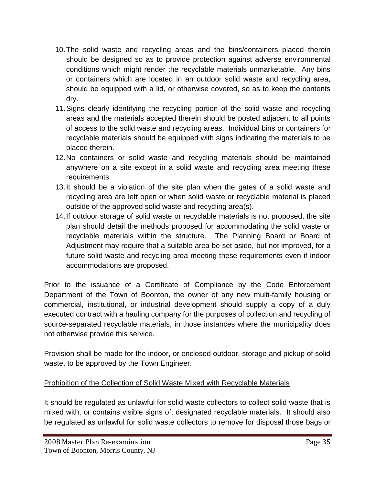- 10.The solid waste and recycling areas and the bins/containers placed therein should be designed so as to provide protection against adverse environmental conditions which might render the recyclable materials unmarketable. Any bins or containers which are located in an outdoor solid waste and recycling area, should be equipped with a lid, or otherwise covered, so as to keep the contents dry.
- 11.Signs clearly identifying the recycling portion of the solid waste and recycling areas and the materials accepted therein should be posted adjacent to all points of access to the solid waste and recycling areas. Individual bins or containers for recyclable materials should be equipped with signs indicating the materials to be placed therein.
- 12.No containers or solid waste and recycling materials should be maintained anywhere on a site except in a solid waste and recycling area meeting these requirements.
- 13.It should be a violation of the site plan when the gates of a solid waste and recycling area are left open or when solid waste or recyclable material is placed outside of the approved solid waste and recycling area(s).
- 14.If outdoor storage of solid waste or recyclable materials is not proposed, the site plan should detail the methods proposed for accommodating the solid waste or recyclable materials within the structure. The Planning Board or Board of Adjustment may require that a suitable area be set aside, but not improved, for a future solid waste and recycling area meeting these requirements even if indoor accommodations are proposed.

Prior to the issuance of a Certificate of Compliance by the Code Enforcement Department of the Town of Boonton, the owner of any new multi-family housing or commercial, institutional, or industrial development should supply a copy of a duly executed contract with a hauling company for the purposes of collection and recycling of source-separated recyclable materials, in those instances where the municipality does not otherwise provide this service.

Provision shall be made for the indoor, or enclosed outdoor, storage and pickup of solid waste, to be approved by the Town Engineer.

### Prohibition of the Collection of Solid Waste Mixed with Recyclable Materials

It should be regulated as unlawful for solid waste collectors to collect solid waste that is mixed with, or contains visible signs of, designated recyclable materials. It should also be regulated as unlawful for solid waste collectors to remove for disposal those bags or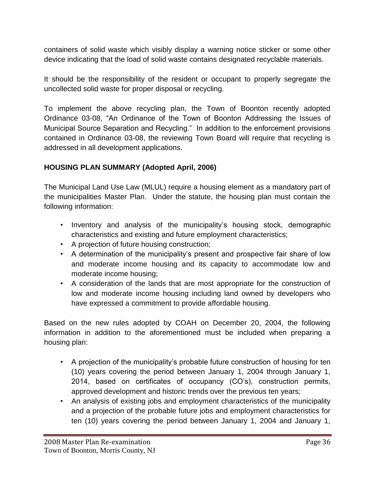containers of solid waste which visibly display a warning notice sticker or some other device indicating that the load of solid waste contains designated recyclable materials.

It should be the responsibility of the resident or occupant to properly segregate the uncollected solid waste for proper disposal or recycling.

To implement the above recycling plan, the Town of Boonton recently adopted Ordinance 03-08, "An Ordinance of the Town of Boonton Addressing the Issues of Municipal Source Separation and Recycling." In addition to the enforcement provisions contained in Ordinance 03-08, the reviewing Town Board will require that recycling is addressed in all development applications.

### **HOUSING PLAN SUMMARY (Adopted April, 2006)**

The Municipal Land Use Law (MLUL) require a housing element as a mandatory part of the municipalities Master Plan. Under the statute, the housing plan must contain the following information:

- Inventory and analysis of the municipality's housing stock, demographic characteristics and existing and future employment characteristics;
- A projection of future housing construction;
- A determination of the municipality's present and prospective fair share of low and moderate income housing and its capacity to accommodate low and moderate income housing;
- A consideration of the lands that are most appropriate for the construction of low and moderate income housing including land owned by developers who have expressed a commitment to provide affordable housing.

Based on the new rules adopted by COAH on December 20, 2004, the following information in addition to the aforementioned must be included when preparing a housing plan:

- A projection of the municipality's probable future construction of housing for ten (10) years covering the period between January 1, 2004 through January 1, 2014, based on certificates of occupancy (CO's), construction permits, approved development and historic trends over the previous ten years;
- An analysis of existing jobs and employment characteristics of the municipality and a projection of the probable future jobs and employment characteristics for ten (10) years covering the period between January 1, 2004 and January 1,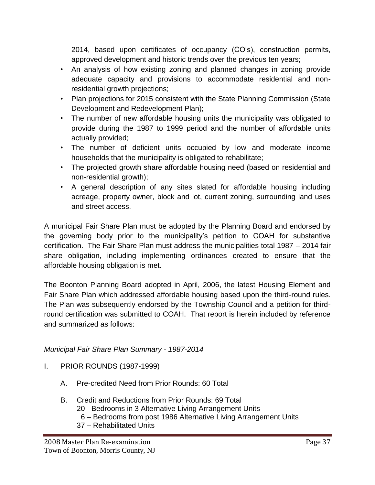2014, based upon certificates of occupancy (CO's), construction permits, approved development and historic trends over the previous ten years;

- An analysis of how existing zoning and planned changes in zoning provide adequate capacity and provisions to accommodate residential and nonresidential growth projections;
- Plan projections for 2015 consistent with the State Planning Commission (State Development and Redevelopment Plan);
- The number of new affordable housing units the municipality was obligated to provide during the 1987 to 1999 period and the number of affordable units actually provided;
- The number of deficient units occupied by low and moderate income households that the municipality is obligated to rehabilitate;
- The projected growth share affordable housing need (based on residential and non-residential growth);
- A general description of any sites slated for affordable housing including acreage, property owner, block and lot, current zoning, surrounding land uses and street access.

A municipal Fair Share Plan must be adopted by the Planning Board and endorsed by the governing body prior to the municipality's petition to COAH for substantive certification. The Fair Share Plan must address the municipalities total 1987 – 2014 fair share obligation, including implementing ordinances created to ensure that the affordable housing obligation is met.

The Boonton Planning Board adopted in April, 2006, the latest Housing Element and Fair Share Plan which addressed affordable housing based upon the third-round rules. The Plan was subsequently endorsed by the Township Council and a petition for thirdround certification was submitted to COAH. That report is herein included by reference and summarized as follows:

### *Municipal Fair Share Plan Summary - 1987-2014*

- I. PRIOR ROUNDS (1987-1999)
	- A. Pre-credited Need from Prior Rounds: 60 Total
	- B. Credit and Reductions from Prior Rounds: 69 Total
		- 20 Bedrooms in 3 Alternative Living Arrangement Units
			- 6 Bedrooms from post 1986 Alternative Living Arrangement Units
		- 37 Rehabilitated Units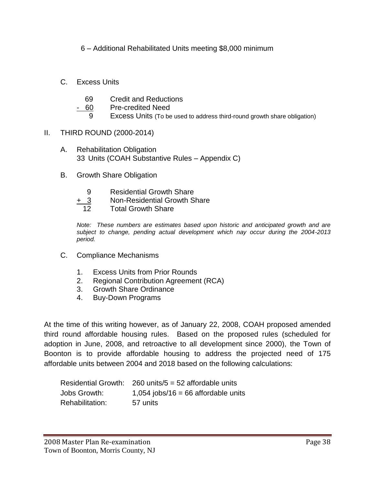6 – Additional Rehabilitated Units meeting \$8,000 minimum

- C. Excess Units
	- 69 Credit and Reductions
	- 60 Pre-credited Need
		- 9 Excess Units (To be used to address third-round growth share obligation)
- II. THIRD ROUND (2000-2014)
	- A. Rehabilitation Obligation 33 Units (COAH Substantive Rules – Appendix C)
	- B. Growth Share Obligation
		- 9 Residential Growth Share
		- + 3 Non-Residential Growth Share
		- 12 Total Growth Share

*Note: These numbers are estimates based upon historic and anticipated growth and are subject to change, pending actual development which nay occur during the 2004-2013 period.*

- C. Compliance Mechanisms
	- 1. Excess Units from Prior Rounds
	- 2. Regional Contribution Agreement (RCA)
	- 3. Growth Share Ordinance
	- 4. Buy-Down Programs

At the time of this writing however, as of January 22, 2008, COAH proposed amended third round affordable housing rules. Based on the proposed rules (scheduled for adoption in June, 2008, and retroactive to all development since 2000), the Town of Boonton is to provide affordable housing to address the projected need of 175 affordable units between 2004 and 2018 based on the following calculations:

|                 | Residential Growth: $260$ units/5 = 52 affordable units |
|-----------------|---------------------------------------------------------|
| Jobs Growth:    | $1,054$ jobs/16 = 66 affordable units                   |
| Rehabilitation: | 57 units                                                |